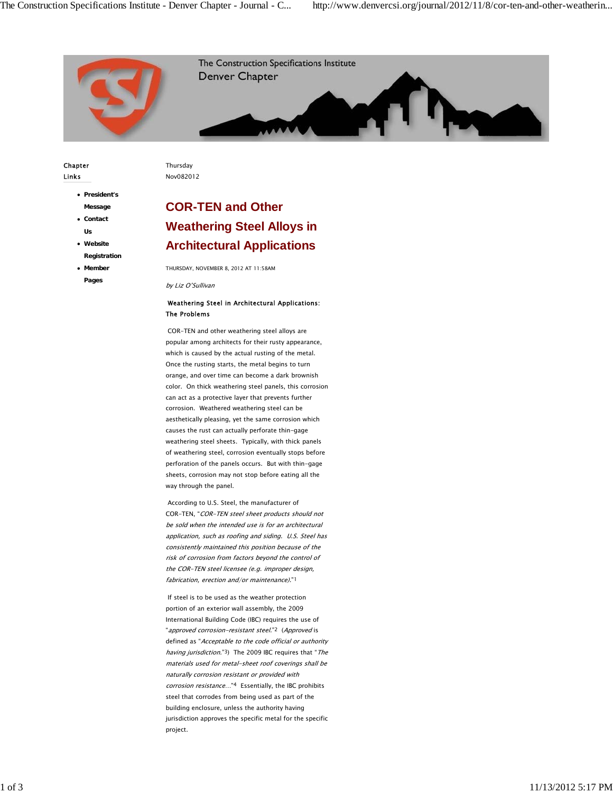

#### Chapter Links

Thursday

- **President's Message**
- **Contact Us**
- **Website Registration**
- **Member Pages**

Nov082012

# **COR-TEN and Other Weathering Steel Alloys in Architectural Applications**

THURSDAY, NOVEMBER 8, 2012 AT 11:58AM

by Liz O'Sullivan

### Weathering Steel in Architectural Applications: The Problems

 COR-TEN and other weathering steel alloys are popular among architects for their rusty appearance, which is caused by the actual rusting of the metal. Once the rusting starts, the metal begins to turn orange, and over time can become a dark brownish color. On thick weathering steel panels, this corrosion can act as a protective layer that prevents further corrosion. Weathered weathering steel can be aesthetically pleasing, yet the same corrosion which causes the rust can actually perforate thin-gage weathering steel sheets. Typically, with thick panels of weathering steel, corrosion eventually stops before perforation of the panels occurs. But with thin-gage sheets, corrosion may not stop before eating all the way through the panel.

 According to U.S. Steel, the manufacturer of COR-TEN, "COR-TEN steel sheet products should not be sold when the intended use is for an architectural application, such as roofing and siding. U.S. Steel has consistently maintained this position because of the risk of corrosion from factors beyond the control of the COR-TEN steel licensee (e.g. improper design, fabrication, erection and/or maintenance)."1

 If steel is to be used as the weather protection portion of an exterior wall assembly, the 2009 International Building Code (IBC) requires the use of "approved corrosion-resistant steel."2 (Approved is defined as "Acceptable to the code official or authority having jurisdiction."3) The 2009 IBC requires that "The materials used for metal-sheet roof coverings shall be naturally corrosion resistant or provided with corrosion resistance…"4 Essentially, the IBC prohibits steel that corrodes from being used as part of the building enclosure, unless the authority having jurisdiction approves the specific metal for the specific project.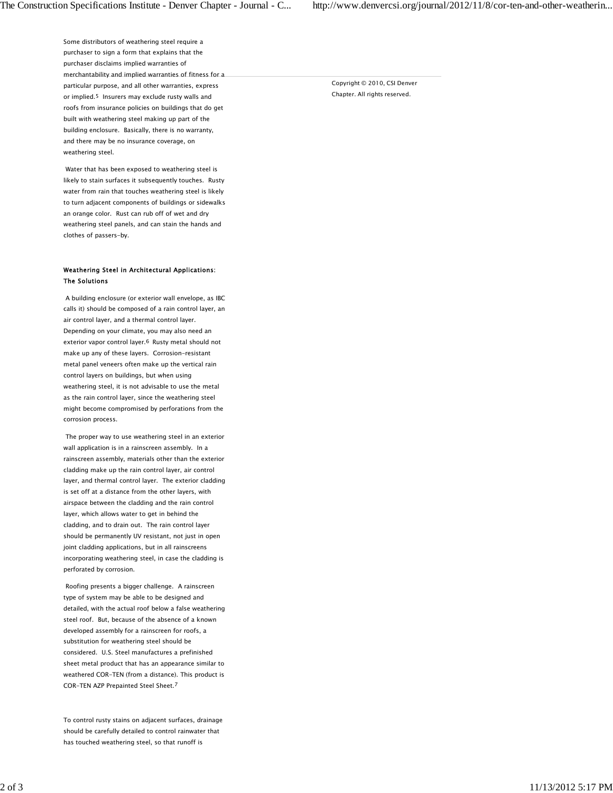Some distributors of weathering steel require a purchaser to sign a form that explains that the purchaser disclaims implied warranties of merchantability and implied warranties of fitness for a particular purpose, and all other warranties, express or implied.5 Insurers may exclude rusty walls and roofs from insurance policies on buildings that do get built with weathering steel making up part of the building enclosure. Basically, there is no warranty, and there may be no insurance coverage, on weathering steel.

 Water that has been exposed to weathering steel is likely to stain surfaces it subsequently touches. Rusty water from rain that touches weathering steel is likely to turn adjacent components of buildings or sidewalks an orange color. Rust can rub off of wet and dry weathering steel panels, and can stain the hands and clothes of passers-by.

#### Weathering Steel in Architectural Applications: The Solutions

 A building enclosure (or exterior wall envelope, as IBC calls it) should be composed of a rain control layer, an air control layer, and a thermal control layer. Depending on your climate, you may also need an exterior vapor control layer.6 Rusty metal should not make up any of these layers. Corrosion-resistant metal panel veneers often make up the vertical rain control layers on buildings, but when using weathering steel, it is not advisable to use the metal as the rain control layer, since the weathering steel might become compromised by perforations from the corrosion process.

 The proper way to use weathering steel in an exterior wall application is in a rainscreen assembly. In a rainscreen assembly, materials other than the exterior cladding make up the rain control layer, air control layer, and thermal control layer. The exterior cladding is set off at a distance from the other layers, with airspace between the cladding and the rain control layer, which allows water to get in behind the cladding, and to drain out. The rain control layer should be permanently UV resistant, not just in open joint cladding applications, but in all rainscreens incorporating weathering steel, in case the cladding is perforated by corrosion.

 Roofing presents a bigger challenge. A rainscreen type of system may be able to be designed and detailed, with the actual roof below a false weathering steel roof. But, because of the absence of a known developed assembly for a rainscreen for roofs, a substitution for weathering steel should be considered. U.S. Steel manufactures a prefinished sheet metal product that has an appearance similar to weathered COR-TEN (from a distance). This product is COR-TEN AZP Prepainted Steel Sheet.7

To control rusty stains on adjacent surfaces, drainage should be carefully detailed to control rainwater that has touched weathering steel, so that runoff is

Copyright © 2010, CSI Denver Chapter. All rights reserved.